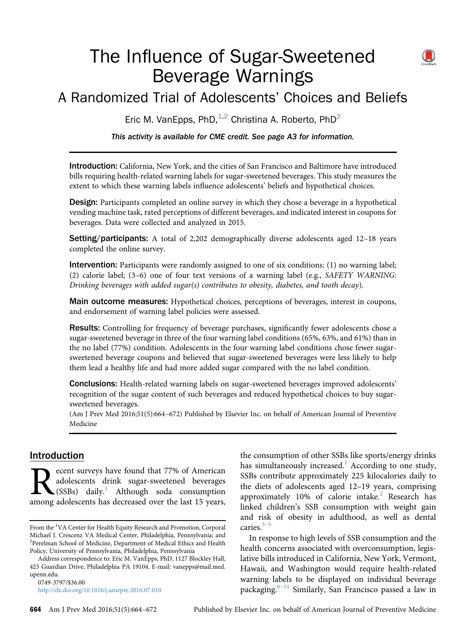# The Influence of Sugar-Sweetened Beverage Warnings



## A Randomized Trial of Adolescents' Choices and Beliefs

Eric M. VanEpps, PhD, $^{1,2}$  Christina A. Roberto, PhD<sup>2</sup>

This activity is available for CME credit. See page A3 for information.

Introduction: California, New York, and the cities of San Francisco and Baltimore have introduced bills requiring health-related warning labels for sugar-sweetened beverages. This study measures the extent to which these warning labels influence adolescents' beliefs and hypothetical choices.

**Design:** Participants completed an online survey in which they chose a beverage in a hypothetical vending machine task, rated perceptions of different beverages, and indicated interest in coupons for beverages. Data were collected and analyzed in 2015.

Setting/participants: A total of 2,202 demographically diverse adolescents aged 12-18 years completed the online survey.

**Intervention:** Participants were randomly assigned to one of six conditions: (1) no warning label; (2) calorie label; (3–6) one of four text versions of a warning label (e.g., SAFETY WARNING: Drinking beverages with added sugar(s) contributes to obesity, diabetes, and tooth decay).

**Main outcome measures:** Hypothetical choices, perceptions of beverages, interest in coupons, and endorsement of warning label policies were assessed.

Results: Controlling for frequency of beverage purchases, significantly fewer adolescents chose a sugar-sweetened beverage in three of the four warning label conditions (65%, 63%, and 61%) than in the no label (77%) condition. Adolescents in the four warning label conditions chose fewer sugarsweetened beverage coupons and believed that sugar-sweetened beverages were less likely to help them lead a healthy life and had more added sugar compared with the no label condition.

Conclusions: Health-related warning labels on sugar-sweetened beverages improved adolescents' recognition of the sugar content of such beverages and reduced hypothetical choices to buy sugarsweetened beverages.

(Am J Prev Med 2016;51(5):664–672) Published by Elsevier Inc. on behalf of American Journal of Preventive Medicine

### Introduction

Recent surveys have found that 77% of American<br>adolescents drink sugar-sweetened beverages<br>among adolescents has decreased over the last 15 years. adolescents drink sugar-sweetened beverages (SSBs) daily.1 Although soda consumption among adolescents has decreased over the last 15 years,

0749-3797/\$36.00 <http://dx.doi.org/10.1016/j.amepre.2016.07.010>

the consumption of other SSBs like sports/energy drinks has simultaneously increased.<sup>[1](#page-7-0)</sup> According to one study, SSBs contribute approximately 225 kilocalories daily to the diets of adolescents aged 12–19 years, comprising approximately 10% of calorie intake.<sup>[2](#page-7-0)</sup> Research has linked children's SSB consumption with weight gain and risk of obesity in adulthood, as well as dental caries. $3-5$  $3-5$ 

In response to high levels of SSB consumption and the health concerns associated with overconsumption, legislative bills introduced in California, New York, Vermont, Hawaii, and Washington would require health-related warning labels to be displayed on individual beverage packaging.<sup>6–[11](#page-7-0)</sup> Similarly, San Francisco passed a law in

From the <sup>1</sup>VA Center for Health Equity Research and Promotion, Corporal Michael J. Crescenz VA Medical Center, Philadelphia, Pennsylvania; and <sup>2</sup>Perelman School of Medicine, Department of Medical Ethics and Health Policy, University of Pennsylvania, Philadelphia, Pennsylvania

Address correspondence to: Eric M. VanEpps, PhD, 1127 Blockley Hall, 423 Guardian Drive, Philadelphia PA 19104. E-mail: [vanepps@mail.med.](mailto:vanepps@mail.med.upenn.edu) [upenn.edu.](mailto:vanepps@mail.med.upenn.edu)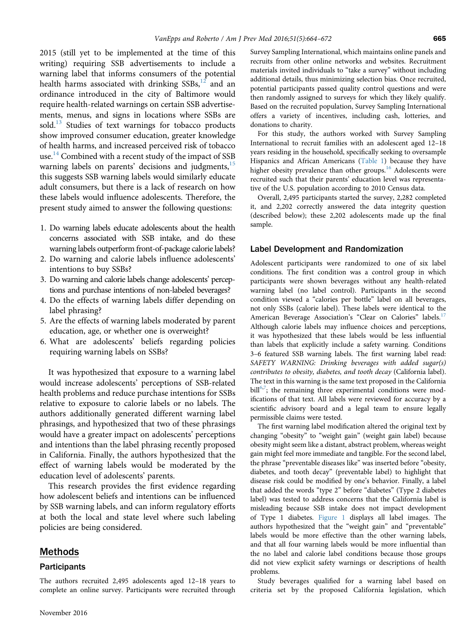2015 (still yet to be implemented at the time of this writing) requiring SSB advertisements to include a warning label that informs consumers of the potential health harms associated with drinking  $SSBs$ ,<sup>12</sup> and an ordinance introduced in the city of Baltimore would require health-related warnings on certain SSB advertisements, menus, and signs in locations where SSBs are sold.<sup>13</sup> Studies of text warnings for tobacco products show improved consumer education, greater knowledge of health harms, and increased perceived risk of tobacco use. $^{14}$  $^{14}$  $^{14}$  Combined with a recent study of the impact of SSB warning labels on parents' decisions and judgments,<sup>[15](#page-7-0)</sup> this suggests SSB warning labels would similarly educate adult consumers, but there is a lack of research on how these labels would influence adolescents. Therefore, the present study aimed to answer the following questions:

- 1. Do warning labels educate adolescents about the health concerns associated with SSB intake, and do these warning labels outperform front-of-package calorie labels?
- 2. Do warning and calorie labels influence adolescents' intentions to buy SSBs?
- 3. Do warning and calorie labels change adolescents' perceptions and purchase intentions of non-labeled beverages?
- 4. Do the effects of warning labels differ depending on label phrasing?
- 5. Are the effects of warning labels moderated by parent education, age, or whether one is overweight?
- 6. What are adolescents' beliefs regarding policies requiring warning labels on SSBs?

It was hypothesized that exposure to a warning label would increase adolescents' perceptions of SSB-related health problems and reduce purchase intentions for SSBs relative to exposure to calorie labels or no labels. The authors additionally generated different warning label phrasings, and hypothesized that two of these phrasings would have a greater impact on adolescents' perceptions and intentions than the label phrasing recently proposed in California. Finally, the authors hypothesized that the effect of warning labels would be moderated by the education level of adolescents' parents.

This research provides the first evidence regarding how adolescent beliefs and intentions can be influenced by SSB warning labels, and can inform regulatory efforts at both the local and state level where such labeling policies are being considered.

#### Methods

#### **Participants**

The authors recruited 2,495 adolescents aged 12–18 years to complete an online survey. Participants were recruited through

Survey Sampling International, which maintains online panels and recruits from other online networks and websites. Recruitment materials invited individuals to "take a survey" without including additional details, thus minimizing selection bias. Once recruited, potential participants passed quality control questions and were then randomly assigned to surveys for which they likely qualify. Based on the recruited population, Survey Sampling International offers a variety of incentives, including cash, lotteries, and donations to charity.

For this study, the authors worked with Survey Sampling International to recruit families with an adolescent aged 12–18 years residing in the household, specifically seeking to oversample Hispanics and African Americans ([Table 1](#page-2-0)) because they have higher obesity prevalence than other groups.<sup>[16](#page-7-0)</sup> Adolescents were recruited such that their parents' education level was representative of the U.S. population according to 2010 Census data.

Overall, 2,495 participants started the survey, 2,282 completed it, and 2,202 correctly answered the data integrity question (described below); these 2,202 adolescents made up the final sample.

#### Label Development and Randomization

Adolescent participants were randomized to one of six label conditions. The first condition was a control group in which participants were shown beverages without any health-related warning label (no label control). Participants in the second condition viewed a "calories per bottle" label on all beverages, not only SSBs (calorie label). These labels were identical to the American Beverage Association's "Clear on Calories" labels.<sup>[17](#page-8-0)</sup> Although calorie labels may influence choices and perceptions, it was hypothesized that these labels would be less influential than labels that explicitly include a safety warning. Conditions 3–6 featured SSB warning labels. The first warning label read: SAFETY WARNING: Drinking beverages with added sugar(s) contributes to obesity, diabetes, and tooth decay (California label). The text in this warning is the same text proposed in the California bill<sup>6,7</sup>; the remaining three experimental conditions were modifications of that text. All labels were reviewed for accuracy by a scientific advisory board and a legal team to ensure legally permissible claims were tested.

The first warning label modification altered the original text by changing "obesity" to "weight gain" (weight gain label) because obesity might seem like a distant, abstract problem, whereas weight gain might feel more immediate and tangible. For the second label, the phrase "preventable diseases like" was inserted before "obesity, diabetes, and tooth decay" (preventable label) to highlight that disease risk could be modified by one's behavior. Finally, a label that added the words "type 2" before "diabetes" (Type 2 diabetes label) was tested to address concerns that the California label is misleading because SSB intake does not impact development of Type 1 diabetes. [Figure 1](#page-3-0) displays all label images. The authors hypothesized that the "weight gain" and "preventable" labels would be more effective than the other warning labels, and that all four warning labels would be more influential than the no label and calorie label conditions because those groups did not view explicit safety warnings or descriptions of health problems.

Study beverages qualified for a warning label based on criteria set by the proposed California legislation, which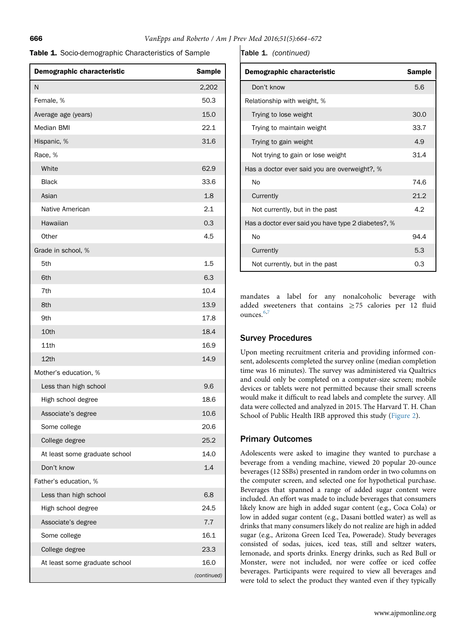<span id="page-2-0"></span>

| Table 1. Socio-demographic Characteristics of Sample |
|------------------------------------------------------|
|------------------------------------------------------|

| Demographic characteristic    | <b>Sample</b> |
|-------------------------------|---------------|
| N                             | 2,202         |
| Female, %                     | 50.3          |
| Average age (years)           | 15.0          |
| <b>Median BMI</b>             | 22.1          |
| Hispanic, %                   | 31.6          |
| Race, %                       |               |
| White                         | 62.9          |
| <b>Black</b>                  | 33.6          |
| Asian                         | 1.8           |
| Native American               | 2.1           |
| Hawaiian                      | 0.3           |
| Other                         | 4.5           |
| Grade in school, %            |               |
| 5th                           | 1.5           |
| 6th                           | 6.3           |
| 7th                           | 10.4          |
| 8th                           | 13.9          |
| 9th                           | 17.8          |
| 10th                          | 18.4          |
| 11th                          | 16.9          |
| 12th                          | 14.9          |
| Mother's education, %         |               |
| Less than high school         | 9.6           |
| High school degree            | 18.6          |
| Associate's degree            | 10.6          |
| Some college                  | 20.6          |
| College degree                | 25.2          |
| At least some graduate school | 14.0          |
| Don't know                    | 1.4           |
| Father's education, %         |               |
| Less than high school         | 6.8           |
| High school degree            | 24.5          |
| Associate's degree            | 7.7           |
| Some college                  | 16.1          |
| College degree                | 23.3          |
| At least some graduate school | 16.0          |
|                               | (continued)   |

Table 1. (continued)

| Demographic characteristic                          | <b>Sample</b> |
|-----------------------------------------------------|---------------|
| Don't know                                          | 5.6           |
| Relationship with weight, %                         |               |
| Trying to lose weight                               | 30.0          |
| Trying to maintain weight                           | 33.7          |
| Trying to gain weight                               | 4.9           |
| Not trying to gain or lose weight                   | 31.4          |
| Has a doctor ever said you are overweight?, %       |               |
| No                                                  | 74.6          |
| Currently                                           | 21.2          |
| Not currently, but in the past                      | 42            |
| Has a doctor ever said you have type 2 diabetes?, % |               |
| No                                                  | 94.4          |
| Currently                                           | 5.3           |
| Not currently, but in the past                      | 0.3           |

mandates a label for any nonalcoholic beverage with added sweeteners that contains  $\geq 75$  calories per 12 fluid ounces.[6,7](#page-7-0)

#### Survey Procedures

Upon meeting recruitment criteria and providing informed consent, adolescents completed the survey online (median completion time was 16 minutes). The survey was administered via Qualtrics and could only be completed on a computer-size screen; mobile devices or tablets were not permitted because their small screens would make it difficult to read labels and complete the survey. All data were collected and analyzed in 2015. The Harvard T. H. Chan School of Public Health IRB approved this study ([Figure 2](#page-4-0)).

#### Primary Outcomes

Adolescents were asked to imagine they wanted to purchase a beverage from a vending machine, viewed 20 popular 20-ounce beverages (12 SSBs) presented in random order in two columns on the computer screen, and selected one for hypothetical purchase. Beverages that spanned a range of added sugar content were included. An effort was made to include beverages that consumers likely know are high in added sugar content (e.g., Coca Cola) or low in added sugar content (e.g., Dasani bottled water) as well as drinks that many consumers likely do not realize are high in added sugar (e.g., Arizona Green Iced Tea, Powerade). Study beverages consisted of sodas, juices, iced teas, still and seltzer waters, lemonade, and sports drinks. Energy drinks, such as Red Bull or Monster, were not included, nor were coffee or iced coffee beverages. Participants were required to view all beverages and were told to select the product they wanted even if they typically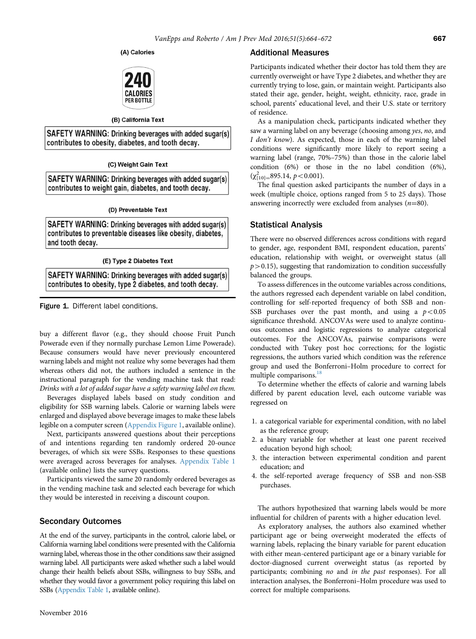#### <span id="page-3-0"></span>(A) Calories



#### (B) California Text

SAFETY WARNING: Drinking beverages with added sugar(s) contributes to obesity, diabetes, and tooth decay.

#### (C) Weight Gain Text

SAFETY WARNING: Drinking beverages with added sugar(s) contributes to weight gain, diabetes, and tooth decay.

(D) Preventable Text

SAFETY WARNING: Drinking beverages with added sugar(s) contributes to preventable diseases like obesity, diabetes, and tooth decay.

(E) Type 2 Diabetes Text

SAFETY WARNING: Drinking beverages with added sugar(s) contributes to obesity, type 2 diabetes, and tooth decay.

Figure 1. Different label conditions.

buy a different flavor (e.g., they should choose Fruit Punch Powerade even if they normally purchase Lemon Lime Powerade). Because consumers would have never previously encountered warning labels and might not realize why some beverages had them whereas others did not, the authors included a sentence in the instructional paragraph for the vending machine task that read: Drinks with a lot of added sugar have a safety warning label on them.

Beverages displayed labels based on study condition and eligibility for SSB warning labels. Calorie or warning labels were enlarged and displayed above beverage images to make these labels legible on a computer screen [\(Appendix Figure 1,](#page-8-0) available online).

Next, participants answered questions about their perceptions of and intentions regarding ten randomly ordered 20-ounce beverages, of which six were SSBs. Responses to these questions were averaged across beverages for analyses. [Appendix Table 1](#page-8-0) (available online) lists the survey questions.

Participants viewed the same 20 randomly ordered beverages as in the vending machine task and selected each beverage for which they would be interested in receiving a discount coupon.

#### Secondary Outcomes

At the end of the survey, participants in the control, calorie label, or California warning label conditions were presented with the California warning label, whereas those in the other conditions saw their assigned warning label. All participants were asked whether such a label would change their health beliefs about SSBs, willingness to buy SSBs, and whether they would favor a government policy requiring this label on SSBs ([Appendix Table 1,](#page-8-0) available online).

#### Additional Measures

Participants indicated whether their doctor has told them they are currently overweight or have Type 2 diabetes, and whether they are currently trying to lose, gain, or maintain weight. Participants also stated their age, gender, height, weight, ethnicity, race, grade in school, parents' educational level, and their U.S. state or territory of residence.

As a manipulation check, participants indicated whether they saw a warning label on any beverage (choosing among yes, no, and I don't know). As expected, those in each of the warning label conditions were significantly more likely to report seeing a warning label (range, 70%–75%) than those in the calorie label condition (6%) or those in the no label condition (6%),  $(\chi^2_{[10]=}895.14, p<0.001).$ 

The final question asked participants the number of days in a week (multiple choice, options ranged from 5 to 25 days). Those answering incorrectly were excluded from analyses  $(n=80)$ .

#### Statistical Analysis

There were no observed differences across conditions with regard to gender, age, respondent BMI, respondent education, parents' education, relationship with weight, or overweight status (all  $p > 0.15$ ), suggesting that randomization to condition successfully balanced the groups.

To assess differences in the outcome variables across conditions, the authors regressed each dependent variable on label condition, controlling for self-reported frequency of both SSB and non-SSB purchases over the past month, and using a  $p < 0.05$ significance threshold. ANCOVAs were used to analyze continuous outcomes and logistic regressions to analyze categorical outcomes. For the ANCOVAs, pairwise comparisons were conducted with Tukey post hoc corrections; for the logistic regressions, the authors varied which condition was the reference group and used the Bonferroni–Holm procedure to correct for multiple comparisons.<sup>[18](#page-8-0)</sup>

To determine whether the effects of calorie and warning labels differed by parent education level, each outcome variable was regressed on

- 1. a categorical variable for experimental condition, with no label as the reference group;
- 2. a binary variable for whether at least one parent received education beyond high school;
- 3. the interaction between experimental condition and parent education; and
- 4. the self-reported average frequency of SSB and non-SSB purchases.

The authors hypothesized that warning labels would be more influential for children of parents with a higher education level.

As exploratory analyses, the authors also examined whether participant age or being overweight moderated the effects of warning labels, replacing the binary variable for parent education with either mean-centered participant age or a binary variable for doctor-diagnosed current overweight status (as reported by participants; combining no and in the past responses). For all interaction analyses, the Bonferroni–Holm procedure was used to correct for multiple comparisons.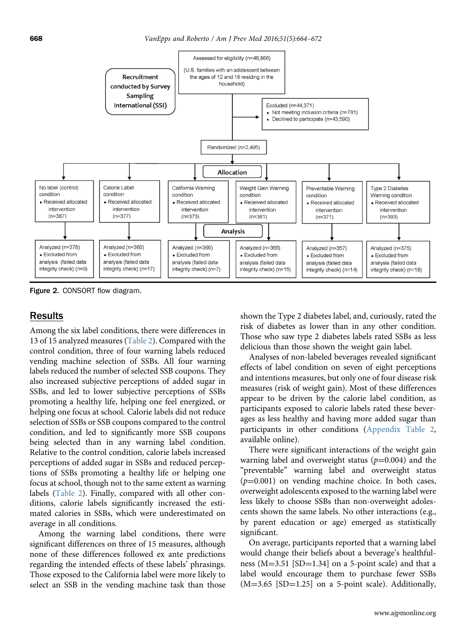<span id="page-4-0"></span>

Figure 2. CONSORT flow diagram.

#### **Results**

Among the six label conditions, there were differences in 13 of 15 analyzed measures [\(Table 2\)](#page-5-0). Compared with the control condition, three of four warning labels reduced vending machine selection of SSBs. All four warning labels reduced the number of selected SSB coupons. They also increased subjective perceptions of added sugar in SSBs, and led to lower subjective perceptions of SSBs promoting a healthy life, helping one feel energized, or helping one focus at school. Calorie labels did not reduce selection of SSBs or SSB coupons compared to the control condition, and led to significantly more SSB coupons being selected than in any warning label condition. Relative to the control condition, calorie labels increased perceptions of added sugar in SSBs and reduced perceptions of SSBs promoting a healthy life or helping one focus at school, though not to the same extent as warning labels [\(Table 2\)](#page-5-0). Finally, compared with all other conditions, calorie labels significantly increased the estimated calories in SSBs, which were underestimated on average in all conditions.

Among the warning label conditions, there were significant differences on three of 15 measures, although none of these differences followed ex ante predictions regarding the intended effects of these labels' phrasings. Those exposed to the California label were more likely to select an SSB in the vending machine task than those

shown the Type 2 diabetes label, and, curiously, rated the risk of diabetes as lower than in any other condition. Those who saw type 2 diabetes labels rated SSBs as less delicious than those shown the weight gain label.

Analyses of non-labeled beverages revealed significant effects of label condition on seven of eight perceptions and intentions measures, but only one of four disease risk measures (risk of weight gain). Most of these differences appear to be driven by the calorie label condition, as participants exposed to calorie labels rated these beverages as less healthy and having more added sugar than participants in other conditions ([Appendix Table 2,](#page-8-0) available online).

There were significant interactions of the weight gain warning label and overweight status ( $p=0.004$ ) and the "preventable" warning label and overweight status  $(p=0.001)$  on vending machine choice. In both cases, overweight adolescents exposed to the warning label were less likely to choose SSBs than non-overweight adolescents shown the same labels. No other interactions (e.g., by parent education or age) emerged as statistically significant.

On average, participants reported that a warning label would change their beliefs about a beverage's healthfulness  $(M=3.51$  [SD=1.34] on a 5-point scale) and that a label would encourage them to purchase fewer SSBs  $(M=3.65$  [SD=1.25] on a 5-point scale). Additionally,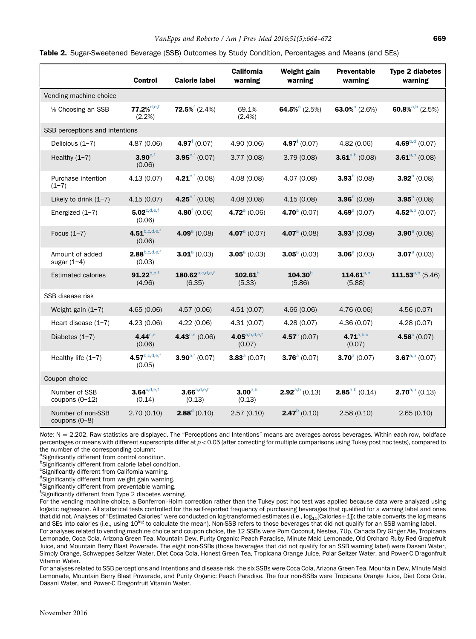<span id="page-5-0"></span>

|  | <b>Table 2.</b> Sugar-Sweetened Beverage (SSB) Outcomes by Study Condition, Percentages and Means (and SEs) |  |  |  |
|--|-------------------------------------------------------------------------------------------------------------|--|--|--|
|--|-------------------------------------------------------------------------------------------------------------|--|--|--|

|                                      | <b>Control</b>                        | <b>Calorie label</b>           | <b>California</b><br>warning | Weight gain<br>warning        | <b>Preventable</b><br>warning | <b>Type 2 diabetes</b><br>warning |  |
|--------------------------------------|---------------------------------------|--------------------------------|------------------------------|-------------------------------|-------------------------------|-----------------------------------|--|
| Vending machine choice               |                                       |                                |                              |                               |                               |                                   |  |
| % Choosing an SSB                    | $77.2%$ <sub>d,e,f</sub><br>$(2.2\%)$ | $72.5\%$ <sup>f</sup> (2.4%)   | 69.1%<br>$(2.4\%)$           | 64.5% <sup>a</sup> (2.5%)     | 63.0% <sup>a</sup> $(2.6\%)$  | 60.8% <sup>a,b</sup> (2.5%)       |  |
| SSB perceptions and intentions       |                                       |                                |                              |                               |                               |                                   |  |
| Delicious (1-7)                      | 4.87 (0.06)                           | 4.97 <sup>f</sup> (0.07)       | 4.90 (0.06)                  | 4.97 $^{\rm f}$ (0.07)        | 4.82(0.06)                    | 4.69 $^{b,d}$ (0.07)              |  |
| Healthy $(1-7)$                      | $3.90^{e,f}$<br>(0.06)                | 3.95 $e^{ef}$ (0.07)           | 3.77(0.08)                   | 3.79(0.08)                    | 3.61 $a,b$ (0.08)             | 3.61 $a,b$ (0.08)                 |  |
| Purchase intention<br>$(1 - 7)$      | 4.13(0.07)                            | 4.21 $^{\rm e,f}$ (0.08)       | 4.08 (0.08)                  | 4.07 (0.08)                   | 3.93 $b$ (0.08)               | 3.92 $b$ (0.08)                   |  |
| Likely to drink $(1-7)$              | 4.15(0.07)                            | 4.25 $^{e,f}$ (0.08)           | 4.08(0.08)                   | 4.15(0.08)                    | 3.96 $b$ (0.08)               | 3.95 $b$ (0.08)                   |  |
| Energized (1-7)                      | $5.02^{{c,d,e,f}}$<br>(0.06)          | 4.80 $^{f}$ (0.06)             | 4.72 $^{a}$ (0.06)           | 4.70 $^{a}$ (0.07)            | 4.69 $^{a}$ (0.07)            | 4.52 $a,b$ (0.07)                 |  |
| Focus $(1-7)$                        | $4.51^{b,c,d,e,f}$<br>(0.06)          | 4.09 $^{a}$ (0.08)             | 4.07 $^{\circ}$ (0.07)       | 4.07 $^{\circ}$ (0.08)        | $3.93^{\circ}$ (0.08)         | 3.90 $^{\circ}$ (0.08)            |  |
| Amount of added<br>sugar $(1-4)$     | $2.88^{\text{b,c,d,e,f}}$<br>(0.03)   | $3.01^a$ (0.03)                | $3.05^a$ (0.03)              | $3.05^{\circ}$ (0.03)         | $3.06^a$ (0.03)               | $3.07^{\circ}$ (0.03)             |  |
| <b>Estimated calories</b>            | $91.22^{b,e,f}$<br>(4.96)             | $180.62^{a,c,d,e,f}$<br>(6.35) | $102.61^{b}$<br>(5.33)       | 104.30 <sup>b</sup><br>(5.86) | $114.61^{a,b}$<br>(5.88)      | $111.53^{a,b}$ (5.46)             |  |
| SSB disease risk                     |                                       |                                |                              |                               |                               |                                   |  |
| Weight gain $(1-7)$                  | 4.65(0.06)                            | 4.57(0.06)                     | 4.51(0.07)                   | 4.66(0.06)                    | 4.76 (0.06)                   | 4.56(0.07)                        |  |
| Heart disease $(1-7)$                | 4.23 (0.06)                           | 4.22(0.06)                     | 4.31(0.07)                   | 4.28(0.07)                    | 4.36(0.07)                    | 4.28(0.07)                        |  |
| Diabetes $(1-7)$                     | $4.44^{\circ, e}$<br>(0.06)           | 4.43 $c,e$ (0.06)              | $4.05^{a,b,d,e,f}$<br>(0.07) | 4.57 $^{\circ}$ (0.07)        | $4.71^{a,b,c}$<br>(0.07)      | 4.58 $^{\circ}$ (0.07)            |  |
| Healthy life $(1-7)$                 | $4.57^{b,c,d,e,f}$<br>(0.05)          | 3.90 $a,f(0.07)$               | $3.83a$ (0.07)               | 3.76 $a$ (0.07)               | 3.70 $a(0.07)$                | 3.67 $a,b$ (0.07)                 |  |
| Coupon choice                        |                                       |                                |                              |                               |                               |                                   |  |
| Number of SSB<br>coupons $(0-12)$    | $3.64^{\text{c,d,e,f}}$<br>(0.14)     | $3.66^{c,d,e,f}$<br>(0.13)     | $3.00^{a,b}$<br>(0.13)       | $2.92^{a,b}$ (0.13)           | $2.85^{a,b}$ (0.14)           | $2.70^{a,b}$ (0.13)               |  |
| Number of non-SSB<br>coupons $(0-8)$ | 2.70(0.10)                            | $2.88^d$ (0.10)                | 2.57(0.10)                   | $2.47^b$ (0.10)               | 2.58(0.10)                    | 2.65(0.10)                        |  |

Note: N = 2,202. Raw statistics are displayed. The "Perceptions and Intentions" means are averages across beverages. Within each row, boldface percentages or means with different superscripts differ at  $p<0.05$  (after correcting for multiple comparisons using Tukey post hoc tests), compared to the number of the corresponding column:

<sup>a</sup> Significantly different from control condition.<br>**bSignificantly different from caloria label congress** 

<sup>b</sup>Significantly different from calorie label condition.

 $\textdegree$ Significantly different from California warning.

dSignificantly different from weight gain warning.

eSignificantly different from preventable warning.

<sup>f</sup>Significantly different from Type 2 diabetes warning.

For the vending machine choice, a Bonferroni-Holm correction rather than the Tukey post hoc test was applied because data were analyzed using logistic regression. All statistical tests controlled for the self-reported frequency of purchasing beverages that qualified for a warning label and ones that did not. Analyses of "Estimated Calories" were conducted on log-transformed estimates (i.e., log<sub>10</sub>[Calories+1]); the table converts the log means and SEs into calories (i.e., using  $10^{\log}$  to calculate the mean). Non-SSB refers to those beverages that did not qualify for an SSB warning label.

For analyses related to vending machine choice and coupon choice, the 12 SSBs were Pom Coconut, Nestea, 7Up, Canada Dry Ginger Ale, Tropicana Lemonade, Coca Cola, Arizona Green Tea, Mountain Dew, Purity Organic: Peach Paradise, Minute Maid Lemonade, Old Orchard Ruby Red Grapefruit Juice, and Mountain Berry Blast Powerade. The eight non-SSBs (those beverages that did not qualify for an SSB warning label) were Dasani Water, Simply Orange, Schweppes Seltzer Water, Diet Coca Cola, Honest Green Tea, Tropicana Orange Juice, Polar Seltzer Water, and Power-C Dragonfruit Vitamin Water.

For analyses related to SSB perceptions and intentions and disease risk, the six SSBs were Coca Cola, Arizona Green Tea, Mountain Dew, Minute Maid Lemonade, Mountain Berry Blast Powerade, and Purity Organic: Peach Paradise. The four non-SSBs were Tropicana Orange Juice, Diet Coca Cola, Dasani Water, and Power-C Dragonfruit Vitamin Water.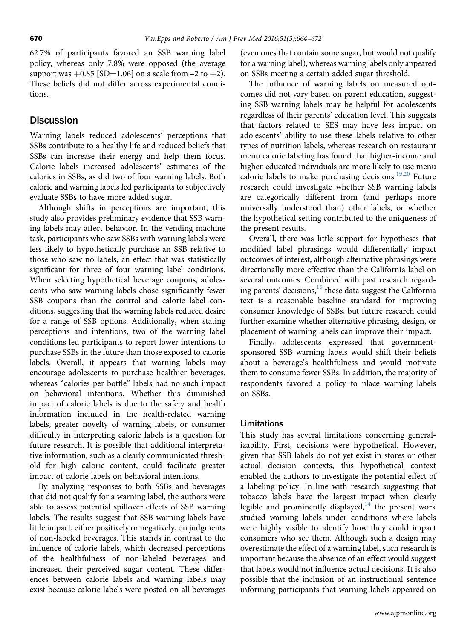62.7% of participants favored an SSB warning label policy, whereas only 7.8% were opposed (the average support was  $+0.85$  [SD=1.06] on a scale from  $-2$  to  $+2$ ). These beliefs did not differ across experimental conditions.

#### **Discussion**

Warning labels reduced adolescents' perceptions that SSBs contribute to a healthy life and reduced beliefs that SSBs can increase their energy and help them focus. Calorie labels increased adolescents' estimates of the calories in SSBs, as did two of four warning labels. Both calorie and warning labels led participants to subjectively evaluate SSBs to have more added sugar.

Although shifts in perceptions are important, this study also provides preliminary evidence that SSB warning labels may affect behavior. In the vending machine task, participants who saw SSBs with warning labels were less likely to hypothetically purchase an SSB relative to those who saw no labels, an effect that was statistically significant for three of four warning label conditions. When selecting hypothetical beverage coupons, adolescents who saw warning labels chose significantly fewer SSB coupons than the control and calorie label conditions, suggesting that the warning labels reduced desire for a range of SSB options. Additionally, when stating perceptions and intentions, two of the warning label conditions led participants to report lower intentions to purchase SSBs in the future than those exposed to calorie labels. Overall, it appears that warning labels may encourage adolescents to purchase healthier beverages, whereas "calories per bottle" labels had no such impact on behavioral intentions. Whether this diminished impact of calorie labels is due to the safety and health information included in the health-related warning labels, greater novelty of warning labels, or consumer difficulty in interpreting calorie labels is a question for future research. It is possible that additional interpretative information, such as a clearly communicated threshold for high calorie content, could facilitate greater impact of calorie labels on behavioral intentions.

By analyzing responses to both SSBs and beverages that did not qualify for a warning label, the authors were able to assess potential spillover effects of SSB warning labels. The results suggest that SSB warning labels have little impact, either positively or negatively, on judgments of non-labeled beverages. This stands in contrast to the influence of calorie labels, which decreased perceptions of the healthfulness of non-labeled beverages and increased their perceived sugar content. These differences between calorie labels and warning labels may exist because calorie labels were posted on all beverages (even ones that contain some sugar, but would not qualify for a warning label), whereas warning labels only appeared on SSBs meeting a certain added sugar threshold.

The influence of warning labels on measured outcomes did not vary based on parent education, suggesting SSB warning labels may be helpful for adolescents regardless of their parents' education level. This suggests that factors related to SES may have less impact on adolescents' ability to use these labels relative to other types of nutrition labels, whereas research on restaurant menu calorie labeling has found that higher-income and higher-educated individuals are more likely to use menu calorie labels to make purchasing decisions.<sup>[19](#page-8-0),[20](#page-8-0)</sup> Future research could investigate whether SSB warning labels are categorically different from (and perhaps more universally understood than) other labels, or whether the hypothetical setting contributed to the uniqueness of the present results.

Overall, there was little support for hypotheses that modified label phrasings would differentially impact outcomes of interest, although alternative phrasings were directionally more effective than the California label on several outcomes. Combined with past research regarding parents' decisions,<sup>15</sup> these data suggest the California text is a reasonable baseline standard for improving consumer knowledge of SSBs, but future research could further examine whether alternative phrasing, design, or placement of warning labels can improve their impact.

Finally, adolescents expressed that governmentsponsored SSB warning labels would shift their beliefs about a beverage's healthfulness and would motivate them to consume fewer SSBs. In addition, the majority of respondents favored a policy to place warning labels on SSBs.

#### Limitations

This study has several limitations concerning generalizability. First, decisions were hypothetical. However, given that SSB labels do not yet exist in stores or other actual decision contexts, this hypothetical context enabled the authors to investigate the potential effect of a labeling policy. In line with research suggesting that tobacco labels have the largest impact when clearly legible and prominently displayed, $14$  the present work studied warning labels under conditions where labels were highly visible to identify how they could impact consumers who see them. Although such a design may overestimate the effect of a warning label, such research is important because the absence of an effect would suggest that labels would not influence actual decisions. It is also possible that the inclusion of an instructional sentence informing participants that warning labels appeared on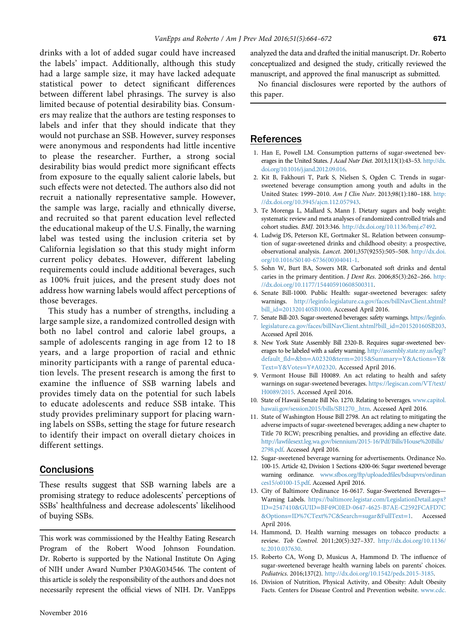<span id="page-7-0"></span>drinks with a lot of added sugar could have increased the labels' impact. Additionally, although this study had a large sample size, it may have lacked adequate statistical power to detect significant differences between different label phrasings. The survey is also limited because of potential desirability bias. Consumers may realize that the authors are testing responses to labels and infer that they should indicate that they would not purchase an SSB. However, survey responses were anonymous and respondents had little incentive to please the researcher. Further, a strong social desirability bias would predict more significant effects from exposure to the equally salient calorie labels, but such effects were not detected. The authors also did not recruit a nationally representative sample. However, the sample was large, racially and ethnically diverse, and recruited so that parent education level reflected the educational makeup of the U.S. Finally, the warning label was tested using the inclusion criteria set by California legislation so that this study might inform current policy debates. However, different labeling requirements could include additional beverages, such as 100% fruit juices, and the present study does not address how warning labels would affect perceptions of those beverages.

This study has a number of strengths, including a large sample size, a randomized controlled design with both no label control and calorie label groups, a sample of adolescents ranging in age from 12 to 18 years, and a large proportion of racial and ethnic minority participants with a range of parental education levels. The present research is among the first to examine the influence of SSB warning labels and provides timely data on the potential for such labels to educate adolescents and reduce SSB intake. This study provides preliminary support for placing warning labels on SSBs, setting the stage for future research to identify their impact on overall dietary choices in different settings.

#### **Conclusions**

These results suggest that SSB warning labels are a promising strategy to reduce adolescents' perceptions of SSBs' healthfulness and decrease adolescents' likelihood of buying SSBs.

This work was commissioned by the Healthy Eating Research Program of the Robert Wood Johnson Foundation. Dr. Roberto is supported by the National Institute On Aging of NIH under Award Number P30AG034546. The content of this article is solely the responsibility of the authors and does not necessarily represent the official views of NIH. Dr. VanEpps

analyzed the data and drafted the initial manuscript. Dr. Roberto conceptualized and designed the study, critically reviewed the manuscript, and approved the final manuscript as submitted.

No financial disclosures were reported by the authors of this paper.

#### References

- 1. Han E, Powell LM. Consumption patterns of sugar-sweetened beverages in the United States. J Acad Nutr Diet. 2013;113(1):43-53. [http://dx.](http://dx.doi.org/10.1016/j.jand.2012.09.016) [doi.org/10.1016/j.jand.2012.09.016](http://dx.doi.org/10.1016/j.jand.2012.09.016).
- 2. Kit B, Fakhouri T, Park S, Nielsen S, Ogden C. Trends in sugarsweetened beverage consumption among youth and adults in the United States: 1999–2010. Am J Clin Nutr. 2013;98(1):180–188. [http:](http://dx.doi.org/10.3945/ajcn.112.057943) [//dx.doi.org/10.3945/ajcn.112.057943.](http://dx.doi.org/10.3945/ajcn.112.057943)
- 3. Te Morenga L, Mallard S, Mann J. Dietary sugars and body weight: systematic review and meta analyses of randomized controlled trials and cohort studies. BMJ. 2013:346. [http://dx.doi.org/10.1136/bmj.e7492.](http://dx.doi.org/10.1136/bmj.e7492)
- 4. Ludwig DS, Peterson KE, Gortmaker SL. Relation between consumption of sugar-sweetened drinks and childhood obesity: a prospective, observational analysis. Lancet. 2001;357(9255):505–508. [http://dx.doi.](http://dx.doi.org/10.1016/S0140-6736(00)04041-1) [org/10.1016/S0140-6736\(00\)04041-1.](http://dx.doi.org/10.1016/S0140-6736(00)04041-1)
- 5. Sohn W, Burt BA, Sowers MR. Carbonated soft drinks and dental caries in the primary dentition. J Dent Res. 2006;85(3):262–266. [http:](http://dx.doi.org/10.1177/154405910608500311) [//dx.doi.org/10.1177/154405910608500311](http://dx.doi.org/10.1177/154405910608500311).
- 6. Senate Bill-1000. Public Health: sugar-sweetened beverages: safety warnings. [http://leginfo.legislature.ca.gov/faces/billNavClient.xhtml?](http://leginfo.legislature.ca.gov/faces/billNavClient.xhtml?bill_id=201320140SB1000) bill\_id=[201320140SB1000](http://leginfo.legislature.ca.gov/faces/billNavClient.xhtml?bill_id=201320140SB1000). Accessed April 2016.
- 7. Senate Bill-203. Sugar-sweetened beverages: safety warnings. [https://leginfo.](https://leginfo.legislature.ca.gov/faces/billNavClient.xhtml?bill_id=201520160SB203) [legislature.ca.gov/faces/billNavClient.xhtml?bill\\_id](https://leginfo.legislature.ca.gov/faces/billNavClient.xhtml?bill_id=201520160SB203)=201520160SB203. Accessed April 2016.
- 8. New York State Assembly Bill 2320-B. Requires sugar-sweetened beverages to be labeled with a safety warning. [http://assembly.state.ny.us/leg/?](http://assembly.state.ny.us/leg/?default_fld=&bn=A02320&term=2015&Summary=Y&Actions=Y&Text=Y&Votes=Y#A02320) [default\\_](http://assembly.state.ny.us/leg/?default_fld=&bn=A02320&term=2015&Summary=Y&Actions=Y&Text=Y&Votes=Y#A02320)fld=&bn=[A02320](http://assembly.state.ny.us/leg/?default_fld=&bn=A02320&term=2015&Summary=Y&Actions=Y&Text=Y&Votes=Y#A02320)&term=[2015&Summary](http://assembly.state.ny.us/leg/?default_fld=&bn=A02320&term=2015&Summary=Y&Actions=Y&Text=Y&Votes=Y#A02320)=Y[&Actions](http://assembly.state.ny.us/leg/?default_fld=&bn=A02320&term=2015&Summary=Y&Actions=Y&Text=Y&Votes=Y#A02320)=Y& [Text](http://assembly.state.ny.us/leg/?default_fld=&bn=A02320&term=2015&Summary=Y&Actions=Y&Text=Y&Votes=Y#A02320)=Y&Votes=[Y#A02320.](http://assembly.state.ny.us/leg/?default_fld=&bn=A02320&term=2015&Summary=Y&Actions=Y&Text=Y&Votes=Y#A02320) Accessed April 2016.
- 9. Vermont House Bill H0089. An act relating to health and safety warnings on sugar-sweetened beverages. [https://legiscan.com/VT/text/](https://legiscan.com/VT/text/H0089/2015) [H0089/2015.](https://legiscan.com/VT/text/H0089/2015) Accessed April 2016.
- 10. State of Hawaii Senate Bill No. 1270. Relating to beverages. [www.capitol.](http://www.capitol.hawaii.gov/session2015/bills/SB1270_.htm) [hawaii.gov/session2015/bills/SB1270\\_.htm.](http://www.capitol.hawaii.gov/session2015/bills/SB1270_.htm) Accessed April 2016.
- 11. State of Washington House Bill 2798. An act relating to mitigating the adverse impacts of sugar-sweetened beverages; adding a new chapter to Title 70 RCW; prescribing penalties, and providing an effective date. http://lawfi[lesext.leg.wa.gov/biennium/2015-16/Pdf/Bills/House%20Bills/](http://lawfilesext.leg.wa.gov/biennium/2015-16/Pdf/Bills/House%20Bills/2798.pdf) [2798.pdf.](http://lawfilesext.leg.wa.gov/biennium/2015-16/Pdf/Bills/House%20Bills/2798.pdf) Accessed April 2016.
- 12. Sugar-sweetened beverage warning for advertisements. Ordinance No. 100-15. Article 42, Division 1 Sections 4200-06: Sugar sweetened beverage warning ordinance. [www.sfbos.org/ftp/uploaded](http://www.sfbos.org/ftp/uploadedfiles/bdsupvrs/ordinances15/o0100-15.pdf)files/bdsupvrs/ordinan [ces15/o0100-15.pdf.](http://www.sfbos.org/ftp/uploadedfiles/bdsupvrs/ordinances15/o0100-15.pdf) Accessed April 2016.
- 13. City of Baltimore Ordinance 16-0617. Sugar-Sweetened Beverages— Warning Labels. [https://baltimore.legistar.com/LegislationDetail.aspx?](https://baltimore.legistar.com/LegislationDetail.aspx?ID=2547410&GUID=BF49C0ED-0647-4625-B7AE-C2592FCAFD7C&Options=ID%7CText%7C&Search=sugar&FullText=1) ID=[2547410](https://baltimore.legistar.com/LegislationDetail.aspx?ID=2547410&GUID=BF49C0ED-0647-4625-B7AE-C2592FCAFD7C&Options=ID%7CText%7C&Search=sugar&FullText=1)&GUID=[BF49C0ED-0647-4625-B7AE-C2592FCAFD7C](https://baltimore.legistar.com/LegislationDetail.aspx?ID=2547410&GUID=BF49C0ED-0647-4625-B7AE-C2592FCAFD7C&Options=ID%7CText%7C&Search=sugar&FullText=1) &Options=[ID%7CText%7C&Search](https://baltimore.legistar.com/LegislationDetail.aspx?ID=2547410&GUID=BF49C0ED-0647-4625-B7AE-C2592FCAFD7C&Options=ID%7CText%7C&Search=sugar&FullText=1)=sugar&[FullText](https://baltimore.legistar.com/LegislationDetail.aspx?ID=2547410&GUID=BF49C0ED-0647-4625-B7AE-C2592FCAFD7C&Options=ID%7CText%7C&Search=sugar&FullText=1)=1. Accessed April 2016.
- 14. Hammond, D. Health warning messages on tobacco products: a review. Tob Control. 2011;20(5):327–337. [http://dx.doi.org/10.1136/](http://dx.doi.org/10.1136/tc.2010.037630) [tc.2010.037630.](http://dx.doi.org/10.1136/tc.2010.037630)
- 15. Roberto CA, Wong D, Musicus A, Hammond D. The influence of sugar-sweetened beverage health warning labels on parents' choices. Pediatrics. 2016;137(2). <http://dx.doi.org/10.1542/peds.2015-3185>.
- 16. Division of Nutrition, Physical Activity, and Obesity: Adult Obesity Facts. Centers for Disease Control and Prevention website. [www.cdc.](http://www.cdc.gov/obesity/data/adult.html)